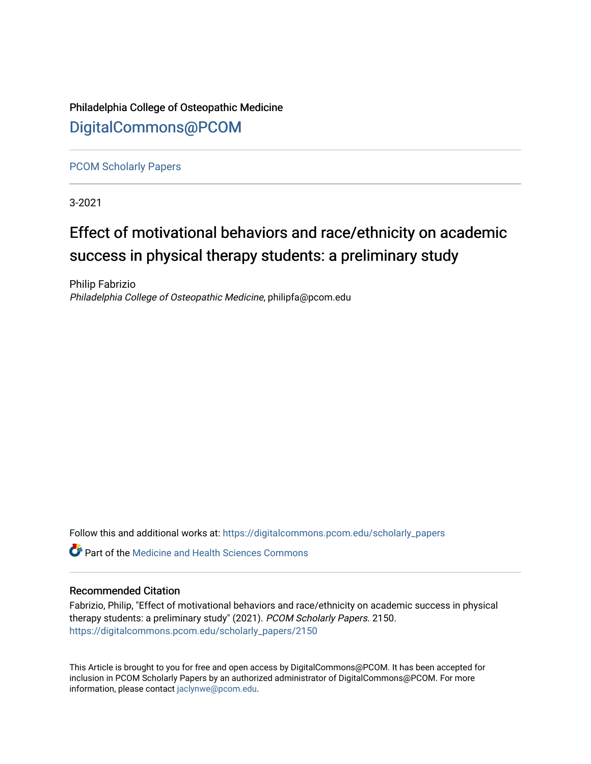Philadelphia College of Osteopathic Medicine [DigitalCommons@PCOM](https://digitalcommons.pcom.edu/) 

[PCOM Scholarly Papers](https://digitalcommons.pcom.edu/scholarly_papers) 

3-2021

## Effect of motivational behaviors and race/ethnicity on academic success in physical therapy students: a preliminary study

Philip Fabrizio Philadelphia College of Osteopathic Medicine, philipfa@pcom.edu

Follow this and additional works at: [https://digitalcommons.pcom.edu/scholarly\\_papers](https://digitalcommons.pcom.edu/scholarly_papers?utm_source=digitalcommons.pcom.edu%2Fscholarly_papers%2F2150&utm_medium=PDF&utm_campaign=PDFCoverPages) 

 $\bullet$  Part of the Medicine and Health Sciences Commons

## Recommended Citation

Fabrizio, Philip, "Effect of motivational behaviors and race/ethnicity on academic success in physical therapy students: a preliminary study" (2021). PCOM Scholarly Papers. 2150. [https://digitalcommons.pcom.edu/scholarly\\_papers/2150](https://digitalcommons.pcom.edu/scholarly_papers/2150?utm_source=digitalcommons.pcom.edu%2Fscholarly_papers%2F2150&utm_medium=PDF&utm_campaign=PDFCoverPages) 

This Article is brought to you for free and open access by DigitalCommons@PCOM. It has been accepted for inclusion in PCOM Scholarly Papers by an authorized administrator of DigitalCommons@PCOM. For more information, please contact [jaclynwe@pcom.edu](mailto:jaclynwe@pcom.edu).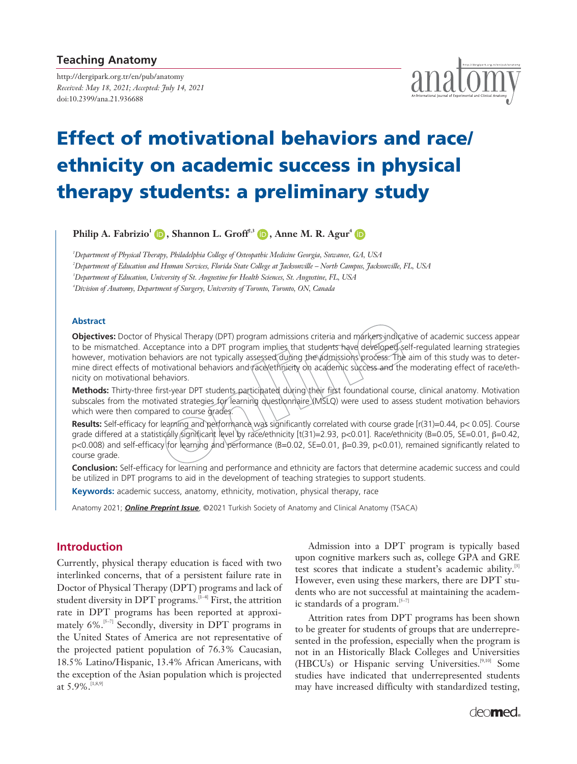## **Teaching Anatomy**

http://dergipark.org.tr/en/pub/anatomy *Received: May 18, 2021; Accepted: July 14, 2021*  doi:10.2399/ana.21.936688



# **Effect of motivational behaviors and race/ ethnicity on academic success in physical therapy students: a preliminary study**

**Philip A. Fabrizio<sup>1</sup> (D</mark>, Shannon L. Groff<sup>2,3</sup> (D, Anne M. R. Agur<sup>4</sup> (D** 

 *Department of Physical Therapy, Philadelphia College of Osteopathic Medicine Georgia, Suwanee, GA, USA Department of Education and Human Services, Florida State College at Jacksonville – North Campus, Jacksonville, FL, USA Department of Education, University of St. Augustine for Health Sciences, St. Augustine, FL, USA Division of Anatomy, Department of Surgery, University of Toronto, Toronto, ON, Canada*

#### **Abstract**

**Objectives:** Doctor of Physical Therapy (DPT) program admissions criteria and markers indicative of academic success appear to be mismatched. Acceptance into a DPT program implies that students have developed self-regulated learning strategies however, motivation behaviors are not typically assessed during the admissions process. The aim of this study was to determine direct effects of motivational behaviors and race/ethnicity on academic success and the moderating effect of race/ethnicity on motivational behaviors.

**Methods:** Thirty-three first-year DPT students participated during their first foundational course, clinical anatomy. Motivation subscales from the motivated strategies for learning questionnaire (MSLQ) were used to assess student motivation behaviors which were then compared to course grades.

**Results:** Self-efficacy for learning and performance was significantly correlated with course grade [r(31)=0.44, p< 0.05]. Course grade differed at a statistically significant level by race/ethnicity [t(31)=2.93, p<0.01]. Race/ethnicity (B=0.05, SE=0.01, β=0.42, p<0.008) and self-efficacy for learning and performance (B=0.02, SE=0.01, β=0.39, p<0.01), remained significantly related to course grade.

**Conclusion:** Self-efficacy for learning and performance and ethnicity are factors that determine academic success and could be utilized in DPT programs to aid in the development of teaching strategies to support students.

**Keywords:** academic success, anatomy, ethnicity, motivation, physical therapy, race

Anatomy 2021; *Online Preprint Issue*, ©2021 Turkish Society of Anatomy and Clinical Anatomy (TSACA)

## **Introduction**

Currently, physical therapy education is faced with two interlinked concerns, that of a persistent failure rate in Doctor of Physical Therapy (DPT) programs and lack of student diversity in DPT programs.<sup>[1-4]</sup> First, the attrition rate in DPT programs has been reported at approximately  $6\%$ .<sup>[5-7]</sup> Secondly, diversity in DPT programs in the United States of America are not representative of the projected patient population of 76.3% Caucasian, 18.5% Latino/Hispanic, 13.4% African Americans, with the exception of the Asian population which is projected at 5.9%.[1,8,9]

Admission into a DPT program is typically based upon cognitive markers such as, college GPA and GRE test scores that indicate a student's academic ability.<sup>[3]</sup> However, even using these markers, there are DPT students who are not successful at maintaining the academic standards of a program. $[5-7]$ 

Attrition rates from DPT programs has been shown to be greater for students of groups that are underrepresented in the profession, especially when the program is not in an Historically Black Colleges and Universities (HBCUs) or Hispanic serving Universities.[9,10] Some studies have indicated that underrepresented students may have increased difficulty with standardized testing,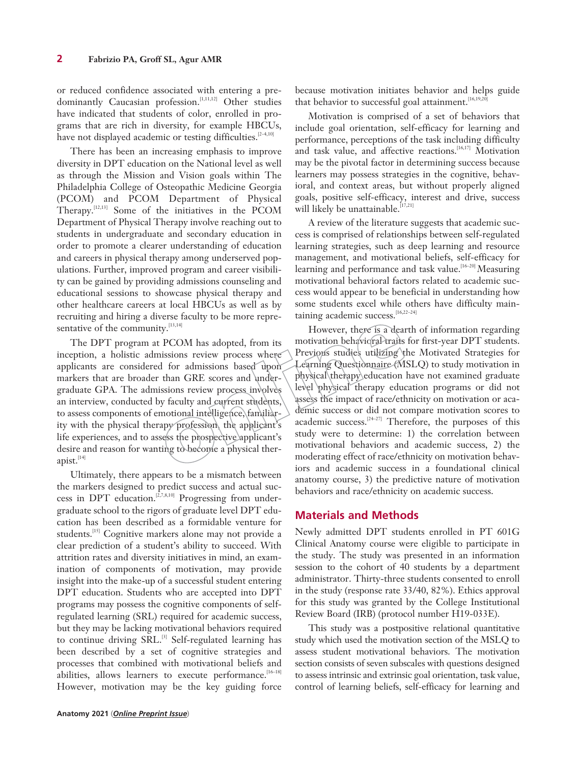or reduced confidence associated with entering a predominantly Caucasian profession.<sup>[1,11,12]</sup> Other studies have indicated that students of color, enrolled in programs that are rich in diversity, for example HBCUs, have not displayed academic or testing difficulties.<sup>[2-4,10]</sup>

There has been an increasing emphasis to improve diversity in DPT education on the National level as well as through the Mission and Vision goals within The Philadelphia College of Osteopathic Medicine Georgia (PCOM) and PCOM Department of Physical Therapy.[12,13] Some of the initiatives in the PCOM Department of Physical Therapy involve reaching out to students in undergraduate and secondary education in order to promote a clearer understanding of education and careers in physical therapy among underserved populations. Further, improved program and career visibility can be gained by providing admissions counseling and educational sessions to showcase physical therapy and other healthcare careers at local HBCUs as well as by recruiting and hiring a diverse faculty to be more representative of the community. [13,14]

The DPT program at PCOM has adopted, from its inception, a holistic admissions review process where applicants are considered for admissions based upon markers that are broader than GRE scores and undergraduate GPA. The admissions review process involves an interview, conducted by faculty and current students, to assess components of emotional intelligence, familiarity with the physical therapy profession, the applicant's life experiences, and to assess the prospective applicant's desire and reason for wanting to become a physical therapist. $^{[14]}$ 

Ultimately, there appears to be a mismatch between the markers designed to predict success and actual success in DPT education.<sup>[2,7,8,10]</sup> Progressing from undergraduate school to the rigors of graduate level DPT education has been described as a formidable venture for students.<sup>[15]</sup> Cognitive markers alone may not provide a clear prediction of a student's ability to succeed. With attrition rates and diversity initiatives in mind, an examination of components of motivation, may provide insight into the make-up of a successful student entering DPT education. Students who are accepted into DPT programs may possess the cognitive components of selfregulated learning (SRL) required for academic success, but they may be lacking motivational behaviors required to continue driving SRL.<sup>[3]</sup> Self-regulated learning has been described by a set of cognitive strategies and processes that combined with motivational beliefs and abilities, allows learners to execute performance.<sup>[16-18]</sup> However, motivation may be the key guiding force

**Anatomy 2021** (*Online Preprint Issue*)

because motivation initiates behavior and helps guide that behavior to successful goal attainment.<sup>[16,19,2</sup>]

Motivation is comprised of a set of behaviors that include goal orientation, self-efficacy for learning and performance, perceptions of the task including difficulty and task value, and affective reactions.<sup>[16,17]</sup> Motivation may be the pivotal factor in determining success because learners may possess strategies in the cognitive, behavioral, and context areas, but without properly aligned goals, positive self-efficacy, interest and drive, success will likely be unattainable.<sup>[17,21]</sup>

A review of the literature suggests that academic success is comprised of relationships between self-regulated learning strategies, such as deep learning and resource management, and motivational beliefs, self-efficacy for learning and performance and task value.<sup>[16-20]</sup> Measuring motivational behavioral factors related to academic success would appear to be beneficial in understanding how some students excel while others have difficulty maintaining academic success.<sup>[16,22-24]</sup>

However, there is a dearth of information regarding motivation behavioral traits for first-year DPT students. Previous studies utilizing the Motivated Strategies for Learning Questionnaire (MSLQ) to study motivation in physical therapy education have not examined graduate level physical therapy education programs or did not assess the impact of race/ethnicity on motivation or academic success or did not compare motivation scores to academic success.<sup>[24-27]</sup> Therefore, the purposes of this study were to determine: 1) the correlation between motivational behaviors and academic success, 2) the moderating effect of race/ethnicity on motivation behaviors and academic success in a foundational clinical anatomy course, 3) the predictive nature of motivation behaviors and race/ethnicity on academic success.

## **Materials and Methods**

Newly admitted DPT students enrolled in PT 601G Clinical Anatomy course were eligible to participate in the study. The study was presented in an information session to the cohort of 40 students by a department administrator. Thirty-three students consented to enroll in the study (response rate 33/40, 82%). Ethics approval for this study was granted by the College Institutional Review Board (IRB) (protocol number H19-033E).

This study was a postpositive relational quantitative study which used the motivation section of the MSLQ to assess student motivational behaviors. The motivation section consists of seven subscales with questions designed to assess intrinsic and extrinsic goal orientation, task value, control of learning beliefs, self-efficacy for learning and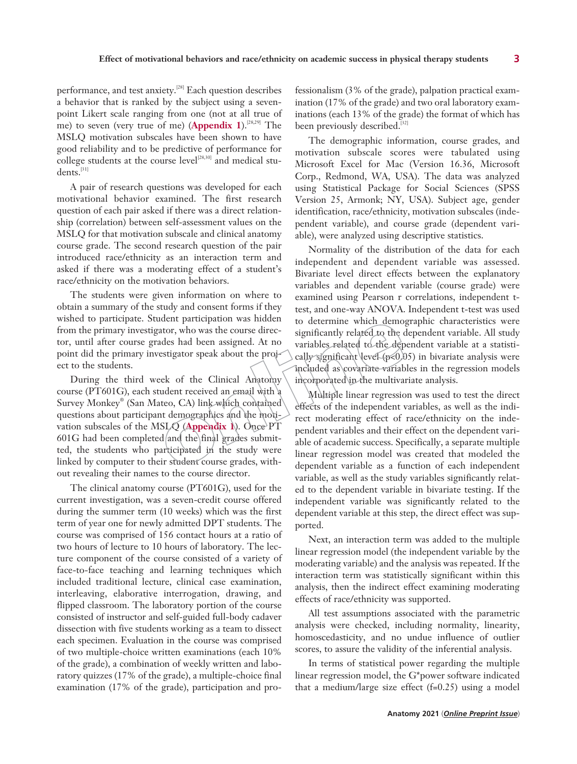performance, and test anxiety.<sup>[28]</sup> Each question describes a behavior that is ranked by the subject using a sevenpoint Likert scale ranging from one (not at all true of me) to seven (very true of me) (**Appendix 1**).<sup>[28,29]</sup> The MSLQ motivation subscales have been shown to have good reliability and to be predictive of performance for college students at the course level<sup>[28,30]</sup> and medical stu $dens.<sup>[31]</sup>$ 

A pair of research questions was developed for each motivational behavior examined. The first research question of each pair asked if there was a direct relationship (correlation) between self-assessment values on the MSLQ for that motivation subscale and clinical anatomy course grade. The second research question of the pair introduced race/ethnicity as an interaction term and asked if there was a moderating effect of a student's race/ethnicity on the motivation behaviors.

The students were given information on where to obtain a summary of the study and consent forms if they wished to participate. Student participation was hidden from the primary investigator, who was the course director, until after course grades had been assigned. At no point did the primary investigator speak about the project to the students.

During the third week of the Clinical Anatomy course (PT601G), each student received an email with a Survey Monkey® (San Mateo, CA) link which contained questions about participant demographics and the motivation subscales of the MSLQ (**Appendix 1**). Once PT 601G had been completed and the final grades submitted, the students who participated in the study were linked by computer to their student course grades, without revealing their names to the course director.

The clinical anatomy course (PT601G), used for the current investigation, was a seven-credit course offered during the summer term (10 weeks) which was the first term of year one for newly admitted DPT students. The course was comprised of 156 contact hours at a ratio of two hours of lecture to 10 hours of laboratory. The lecture component of the course consisted of a variety of face-to-face teaching and learning techniques which included traditional lecture, clinical case examination, interleaving, elaborative interrogation, drawing, and flipped classroom. The laboratory portion of the course consisted of instructor and self-guided full-body cadaver dissection with five students working as a team to dissect each specimen. Evaluation in the course was comprised of two multiple-choice written examinations (each 10% of the grade), a combination of weekly written and laboratory quizzes (17% of the grade), a multiple-choice final examination (17% of the grade), participation and pro-

fessionalism (3% of the grade), palpation practical examination (17% of the grade) and two oral laboratory examinations (each 13% of the grade) the format of which has been previously described.<sup>[32]</sup>

The demographic information, course grades, and motivation subscale scores were tabulated using Microsoft Excel for Mac (Version 16.36, Microsoft Corp., Redmond, WA, USA). The data was analyzed using Statistical Package for Social Sciences (SPSS Version 25, Armonk; NY, USA). Subject age, gender identification, race/ethnicity, motivation subscales (independent variable), and course grade (dependent variable), were analyzed using descriptive statistics.

Normality of the distribution of the data for each independent and dependent variable was assessed. Bivariate level direct effects between the explanatory variables and dependent variable (course grade) were examined using Pearson r correlations, independent ttest, and one-way ANOVA. Independent t-test was used to determine which demographic characteristics were significantly related to the dependent variable. All study variables related to the dependent variable at a statistically significant level  $(p<0.05)$  in bivariate analysis were included as covariate variables in the regression models incorporated in the multivariate analysis.

Multiple linear regression was used to test the direct effects of the independent variables, as well as the indirect moderating effect of race/ethnicity on the independent variables and their effect on the dependent variable of academic success. Specifically, a separate multiple linear regression model was created that modeled the dependent variable as a function of each independent variable, as well as the study variables significantly related to the dependent variable in bivariate testing. If the independent variable was significantly related to the dependent variable at this step, the direct effect was supported.

Next, an interaction term was added to the multiple linear regression model (the independent variable by the moderating variable) and the analysis was repeated. If the interaction term was statistically significant within this analysis, then the indirect effect examining moderating effects of race/ethnicity was supported.

All test assumptions associated with the parametric analysis were checked, including normality, linearity, homoscedasticity, and no undue influence of outlier scores, to assure the validity of the inferential analysis.

In terms of statistical power regarding the multiple linear regression model, the G\*power software indicated that a medium/large size effect  $(f=0.25)$  using a model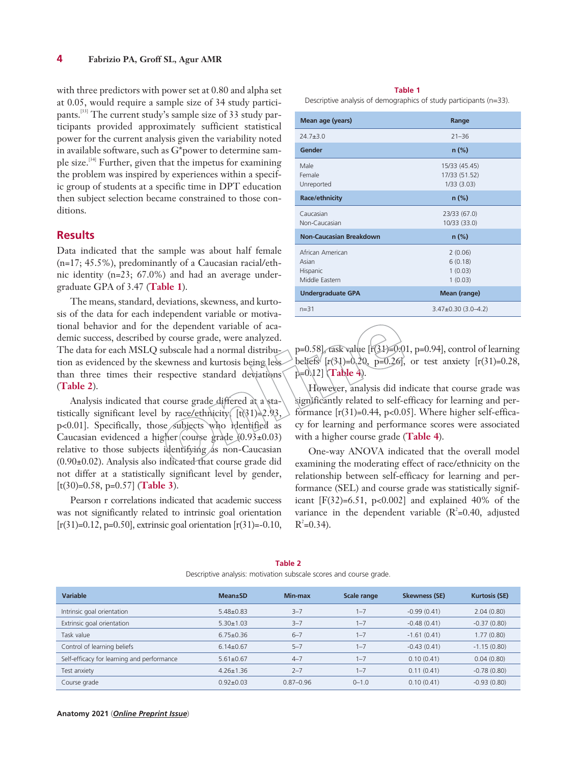with three predictors with power set at 0.80 and alpha set at 0.05, would require a sample size of 34 study participants.[33] The current study's sample size of 33 study participants provided approximately sufficient statistical power for the current analysis given the variability noted in available software, such as G\*power to determine sample size.[34] Further, given that the impetus for examining the problem was inspired by experiences within a specific group of students at a specific time in DPT education then subject selection became constrained to those conditions.

## **Results**

Data indicated that the sample was about half female (n=17; 45.5%), predominantly of a Caucasian racial/ethnic identity (n=23; 67.0%) and had an average undergraduate GPA of 3.47 (**Table 1**).

The means, standard, deviations, skewness, and kurtosis of the data for each independent variable or motivational behavior and for the dependent variable of academic success, described by course grade, were analyzed. The data for each MSLQ subscale had a normal distribution as evidenced by the skewness and kurtosis being less than three times their respective standard deviations (**Table 2**).

Analysis indicated that course grade differed at a statistically significant level by race/ethnicity  $\lceil t \cdot (31) \rceil$  2.93, p<0.01]. Specifically, those subjects who identified as Caucasian evidenced a higher course grade  $(0.93 \pm 0.03)$ relative to those subjects identifying  $\Delta s$  non-Caucasian (0.90±0.02). Analysis also indicated that course grade did not differ at a statistically significant level by gender, [t(30)=0.58, p=0.57] (**Table 3**).

Pearson r correlations indicated that academic success was not significantly related to intrinsic goal orientation  $[r(31)=0.12, p=0.50]$ , extrinsic goal orientation  $[r(31)=0.10,$ 

#### **Table 1**

Descriptive analysis of demographics of study participants (n=33).

| Mean age (years)                                        | Range                                        |
|---------------------------------------------------------|----------------------------------------------|
| $747 + 30$                                              | $21 - 36$                                    |
| Gender                                                  | $n$ (%)                                      |
| Male<br>Female<br>Unreported                            | 15/33 (45.45)<br>17/33 (51.52)<br>1/33(3.03) |
| Race/ethnicity                                          | $n$ (%)                                      |
| Caucasian<br>Non-Caucasian                              | 23/33 (67.0)<br>10/33 (33.0)                 |
| Non-Caucasian Breakdown                                 | $n$ (%)                                      |
| African American<br>Asian<br>Hispanic<br>Middle Eastern | 2(0.06)<br>6(0.18)<br>1(0.03)<br>1(0.03)     |
| <b>Undergraduate GPA</b>                                | Mean (range)                                 |
| $n = 31$                                                | $3.47\pm0.30$ (3.0-4.2)                      |
|                                                         |                                              |

p=0.58], task value  $[r(31) = 0.01, p=0.94]$ , control of learning beliefs  $[r(31)=0.20, p=0.26]$ , or test anxiety  $[r(31)=0.28,$ p=0.12] (**Table 4**).

However, analysis did indicate that course grade was significantly related to self-efficacy for learning and performance  $[r(31)=0.44, p<0.05]$ . Where higher self-efficacy for learning and performance scores were associated with a higher course grade (**Table 4**).

One-way ANOVA indicated that the overall model examining the moderating effect of race/ethnicity on the relationship between self-efficacy for learning and performance (SEL) and course grade was statistically significant  $[F(32)=6.51, p<0.002]$  and explained 40% of the variance in the dependent variable  $(R^2=0.40,$  adjusted  $R^2 = 0.34$ .

|                                            | bescriptive analysis. Inotivation sabseare secres and coarse grade. |               |             |                      |                      |
|--------------------------------------------|---------------------------------------------------------------------|---------------|-------------|----------------------|----------------------|
| Variable                                   | <b>Mean</b> ±SD                                                     | Min-max       | Scale range | <b>Skewness (SE)</b> | <b>Kurtosis (SE)</b> |
| Intrinsic goal orientation                 | $5.48 \pm 0.83$                                                     | $3 - 7$       | $1 - 7$     | $-0.99(0.41)$        | 2.04(0.80)           |
| Extrinsic goal orientation                 | $5.30 \pm 1.03$                                                     | $3 - 7$       | $1 - 7$     | $-0.48(0.41)$        | $-0.37(0.80)$        |
| Task value                                 | $6.75 \pm 0.36$                                                     | $6 - 7$       | $1 - 7$     | $-1.61(0.41)$        | 1.77(0.80)           |
| Control of learning beliefs                | $6.14 \pm 0.67$                                                     | $5 - 7$       | $1 - 7$     | $-0.43(0.41)$        | $-1.15(0.80)$        |
| Self-efficacy for learning and performance | $5.61 \pm 0.67$                                                     | $4 - 7$       | $1 - 7$     | 0.10(0.41)           | 0.04(0.80)           |
| Test anxiety                               | $4.26 \pm 1.36$                                                     | $2 - 7$       | $1 - 7$     | 0.11(0.41)           | $-0.78(0.80)$        |
| Course grade                               | $0.92 + 0.03$                                                       | $0.87 - 0.96$ | $0 - 1.0$   | 0.10(0.41)           | $-0.93(0.80)$        |

**Table 2** Descriptive analysis: motivation subscale scores and course grade.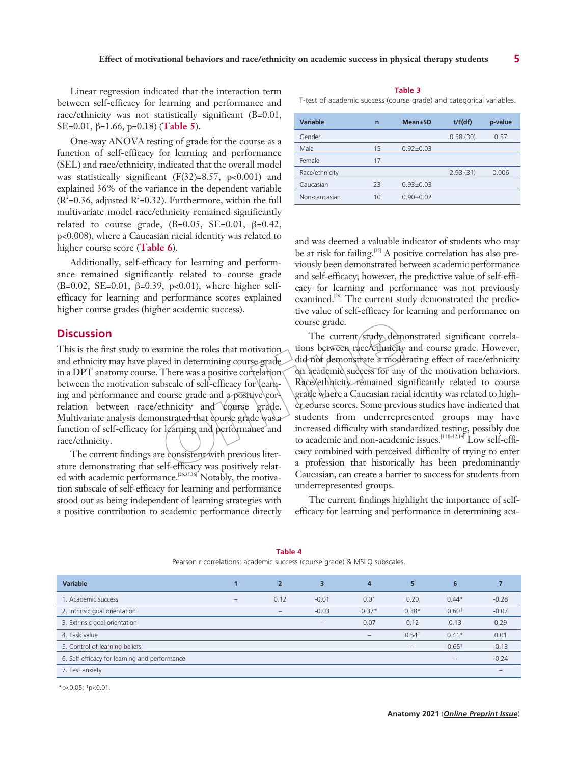Linear regression indicated that the interaction term between self-efficacy for learning and performance and race/ethnicity was not statistically significant (B=0.01, SE=0.01, β=1.66, p=0.18) (**Table 5**).

One-way ANOVA testing of grade for the course as a function of self-efficacy for learning and performance (SEL) and race/ethnicity, indicated that the overall model was statistically significant  $(F(32)=8.57, p<0.001)$  and explained 36% of the variance in the dependent variable  $(R^2=0.36,$  adjusted  $R^2=0.32$ ). Furthermore, within the full multivariate model race/ethnicity remained significantly related to course grade,  $(B=0.05, SE=0.01, \beta=0.42,$ p<0.008), where a Caucasian racial identity was related to higher course score (**Table 6**).

Additionally, self-efficacy for learning and performance remained significantly related to course grade (B=0.02, SE=0.01,  $\beta$ =0.39, p<0.01), where higher selfefficacy for learning and performance scores explained higher course grades (higher academic success).

## **Discussion**

This is the first study to examine the roles that motivation and ethnicity may have played in determining course grade in a DPT anatomy course. There was a positive correlation between the motivation subscale of self-efficacy for learning and performance and course grade and a positive correlation between race/ethnicity and course grade. Multivariate analysis demonstrated that course grade was a function of self-efficacy for learning and performance and race/ethnicity.

The current findings are consistent with previous literature demonstrating that self-efficacy was positively related with academic performance.<sup>[26,35,36]</sup> Notably, the motivation subscale of self-efficacy for learning and performance stood out as being independent of learning strategies with a positive contribution to academic performance directly

#### **Table 3**

T-test of academic success (course grade) and categorical variables.

| <b>Variable</b> | $\overline{ }$ | <b>Mean</b> ±SD | t/F(df)  | p-value |
|-----------------|----------------|-----------------|----------|---------|
| Gender          |                |                 | 0.58(30) | 0.57    |
| Male            | 15             | $0.92 + 0.03$   |          |         |
| Female          | 17             |                 |          |         |
| Race/ethnicity  |                |                 | 2.93(31) | 0.006   |
| Caucasian       | 23             | $0.93 + 0.03$   |          |         |
| Non-caucasian   | 10             | $0.90+0.02$     |          |         |

and was deemed a valuable indicator of students who may be at risk for failing.<sup>[35]</sup> A positive correlation has also previously been demonstrated between academic performance and self-efficacy; however, the predictive value of self-efficacy for learning and performance was not previously examined.<sup>[26]</sup> The current study demonstrated the predictive value of self-efficacy for learning and performance on course grade.

The current/study demonstrated significant correlations between race/ethnicity and course grade. However, did not demonstrate a moderating effect of race/ethnicity on academic success for any of the motivation behaviors. Race/ethnicity remained significantly related to course grade where a Caucasian racial identity was related to higher course scores. Some previous studies have indicated that students from underrepresented groups may have increased difficulty with standardized testing, possibly due to academic and non-academic issues.<sup>[1,10-12,14]</sup> Low self-efficacy combined with perceived difficulty of trying to enter a profession that historically has been predominantly Caucasian, can create a barrier to success for students from underrepresented groups.

The current findings highlight the importance of selfefficacy for learning and performance in determining aca-

| <b>Variable</b>                               |                                 | $\overline{2}$ | $\overline{3}$                  | 4                 | 5                 | 6                               |         |
|-----------------------------------------------|---------------------------------|----------------|---------------------------------|-------------------|-------------------|---------------------------------|---------|
| 1. Academic success                           | $\hspace{0.1mm}-\hspace{0.1mm}$ | 0.12           | $-0.01$                         | 0.01              | 0.20              | $0.44*$                         | $-0.28$ |
| 2. Intrinsic goal orientation                 |                                 | $-$            | $-0.03$                         | $0.37*$           | $0.38*$           | 0.60 <sup>†</sup>               | $-0.07$ |
| 3. Extrinsic goal orientation                 |                                 |                | $\hspace{0.1mm}-\hspace{0.1mm}$ | 0.07              | 0.12              | 0.13                            | 0.29    |
| 4. Task value                                 |                                 |                |                                 | $\qquad \qquad -$ | 0.54 <sup>†</sup> | $0.41*$                         | 0.01    |
| 5. Control of learning beliefs                |                                 |                |                                 |                   | $\qquad \qquad -$ | $0.65^+$                        | $-0.13$ |
| 6. Self-efficacy for learning and performance |                                 |                |                                 |                   |                   | $\hspace{0.1mm}-\hspace{0.1mm}$ | $-0.24$ |
| 7. Test anxiety                               |                                 |                |                                 |                   |                   |                                 | -       |

**Table 4** Pearson r correlations: academic success (course grade) & MSLQ subscales.

\*p<0.05; †p<0.01.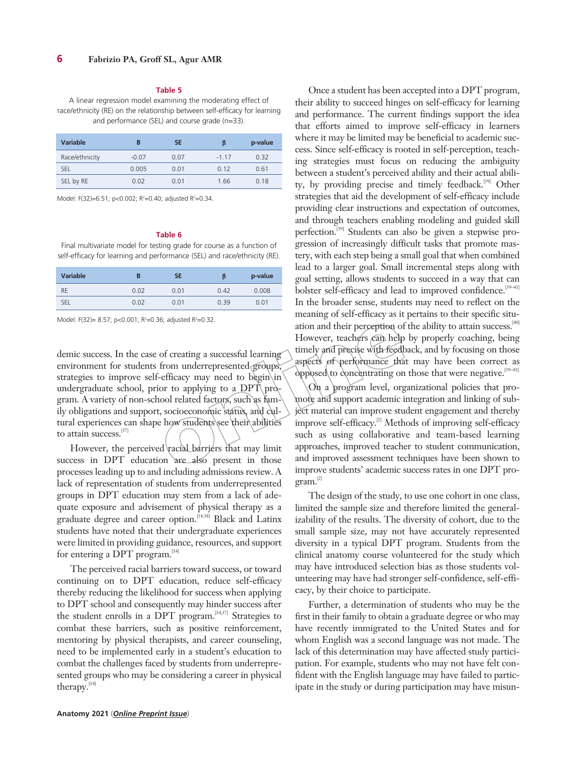#### **Table 5**

A linear regression model examining the moderating effect of race/ethnicity (RE) on the relationship between self-efficacy for learning and performance (SEL) and course grade (n=33).

| <b>Variable</b> | в       | <b>SE</b> | ß       | p-value |
|-----------------|---------|-----------|---------|---------|
| Race/ethnicity  | $-0.07$ | 0.07      | $-1$ 17 | 0.32    |
| SEL             | 0.005   | 0.01      | 0.12    | 0.61    |
| SEL by RE       | 0.02    | 0.01      | 1.66    | 0.18    |

Model: F(32)=6.51; p<0.002; R<sup>2</sup>=0.40; adjusted R<sup>2</sup>=0.34.

#### **Table 6**

Final multivariate model for testing grade for course as a function of self-efficacy for learning and performance (SEL) and race/ethnicity (RE).

| <b>Variable</b> |      | SE   | β    | p-value |
|-----------------|------|------|------|---------|
| <b>RE</b>       | 0.02 | 0.01 | 0.42 | 0.008   |
| <b>SEL</b>      | 0.02 | 0.01 | 0.39 | 0.01    |

Model: F(32)= 8.57; p<0.001; R<sup>2</sup>=0.36; adjusted R<sup>2</sup>=0.32.

demic success. In the case of creating a successful learning environment for students from underrepresented groups, strategies to improve self-efficacy may need to begin $\infty$ undergraduate school, prior to applying to a  $DPT$  program. A variety of non-school related factors, such as family obligations and support, socioeconomic status, and cultural experiences can shape how students see their abilities to attain success.[37]

However, the perceived racial barriers that may limit success in DPT education are also present in those processes leading up to and including admissions review. A lack of representation of students from underrepresented groups in DPT education may stem from a lack of adequate exposure and advisement of physical therapy as a graduate degree and career option.<sup>[14,38]</sup> Black and Latinx students have noted that their undergraduate experiences were limited in providing guidance, resources, and support for entering a DPT program.<sup>[14]</sup>

The perceived racial barriers toward success, or toward continuing on to DPT education, reduce self-efficacy thereby reducing the likelihood for success when applying to DPT school and consequently may hinder success after the student enrolls in a DPT program.<sup>[14,37]</sup> Strategies to combat these barriers, such as positive reinforcement, mentoring by physical therapists, and career counseling, need to be implemented early in a student's education to combat the challenges faced by students from underrepresented groups who may be considering a career in physical therapy.<sup>[14]</sup>

Once a student has been accepted into a DPT program, their ability to succeed hinges on self-efficacy for learning and performance. The current findings support the idea that efforts aimed to improve self-efficacy in learners where it may be limited may be beneficial to academic success. Since self-efficacy is rooted in self-perception, teaching strategies must focus on reducing the ambiguity between a student's perceived ability and their actual ability, by providing precise and timely feedback.<sup>[39]</sup> Other strategies that aid the development of self-efficacy include providing clear instructions and expectation of outcomes, and through teachers enabling modeling and guided skill perfection.[39] Students can also be given a stepwise progression of increasingly difficult tasks that promote mastery, with each step being a small goal that when combined lead to a larger goal. Small incremental steps along with goal setting, allows students to succeed in a way that can bolster self-efficacy and lead to improved confidence.<sup>[39-41]</sup> In the broader sense, students may need to reflect on the meaning of self-efficacy as it pertains to their specific situation and their perception of the ability to attain success.<sup>[40]</sup> However, teachers can help by properly coaching, being timely and precise with feedback, and by focusing on those aspects of performance that may have been correct as opposed to concentrating on those that were negative.[39–41]

On a program level, organizational policies that promote and support academic integration and linking of subject material can improve student engagement and thereby improve self-efficacy.<sup>[2]</sup> Methods of improving self-efficacy such as using collaborative and team-based learning approaches, improved teacher to student communication, and improved assessment techniques have been shown to improve students' academic success rates in one DPT program.[2]

The design of the study, to use one cohort in one class, limited the sample size and therefore limited the generalizability of the results. The diversity of cohort, due to the small sample size, may not have accurately represented diversity in a typical DPT program. Students from the clinical anatomy course volunteered for the study which may have introduced selection bias as those students volunteering may have had stronger self-confidence, self-efficacy, by their choice to participate.

Further, a determination of students who may be the first in their family to obtain a graduate degree or who may have recently immigrated to the United States and for whom English was a second language was not made. The lack of this determination may have affected study participation. For example, students who may not have felt confident with the English language may have failed to participate in the study or during participation may have misun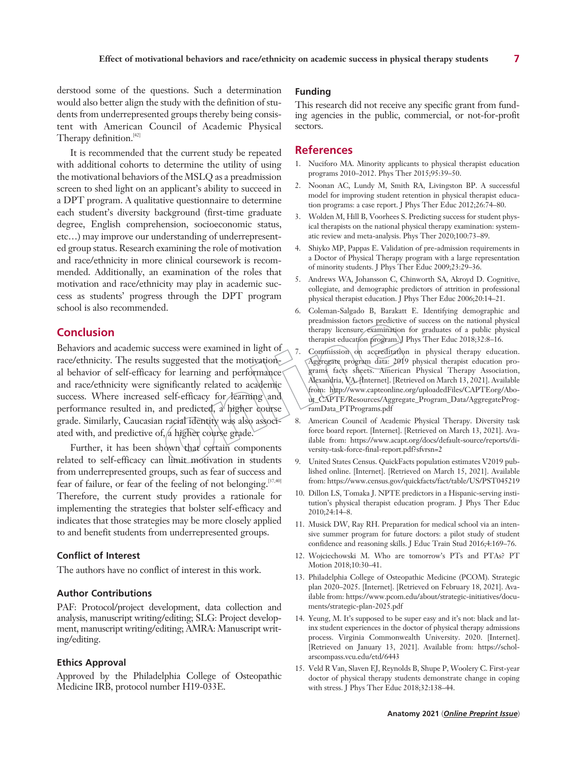derstood some of the questions. Such a determination would also better align the study with the definition of students from underrepresented groups thereby being consistent with American Council of Academic Physical Therapy definition.[42]

It is recommended that the current study be repeated with additional cohorts to determine the utility of using the motivational behaviors of the MSLQ as a preadmission screen to shed light on an applicant's ability to succeed in a DPT program. A qualitative questionnaire to determine each student's diversity background (first-time graduate degree, English comprehension, socioeconomic status, etc…) may improve our understanding of underrepresented group status. Research examining the role of motivation and race/ethnicity in more clinical coursework is recommended. Additionally, an examination of the roles that motivation and race/ethnicity may play in academic success as students' progress through the DPT program school is also recommended.

## **Conclusion**

Behaviors and academic success were examined in light of race/ethnicity. The results suggested that the motivational behavior of self-efficacy for learning and performance and race/ethnicity were significantly related to academic success. Where increased self-efficacy for learning and performance resulted in, and predicted,  $a^{\prime}$  higher course grade. Similarly, Caucasian racial identity was also associated with, and predictive of, a higher course grade.

Further, it has been shown that certain components related to self-efficacy can limit motivation in students from underrepresented groups, such as fear of success and fear of failure, or fear of the feeling of not belonging.<sup>[37,40]</sup> Therefore, the current study provides a rationale for implementing the strategies that bolster self-efficacy and indicates that those strategies may be more closely applied to and benefit students from underrepresented groups.

#### **Conflict of Interest**

The authors have no conflict of interest in this work.

#### **Author Contributions**

PAF: Protocol/project development, data collection and analysis, manuscript writing/editing; SLG: Project development, manuscript writing/editing; AMRA: Manuscript writing/editing.

### **Ethics Approval**

Approved by the Philadelphia College of Osteopathic Medicine IRB, protocol number H19-033E.

## **Funding**

This research did not receive any specific grant from funding agencies in the public, commercial, or not-for-profit sectors.

## **References**

- 1. Nuciforo MA. Minority applicants to physical therapist education programs 2010–2012. Phys Ther 2015;95:39–50.
- 2. Noonan AC, Lundy M, Smith RA, Livingston BP. A successful model for improving student retention in physical therapist education programs: a case report. J Phys Ther Educ 2012;26:74–80.
- 3. Wolden M, Hill B, Voorhees S. Predicting success for student physical therapists on the national physical therapy examination: systematic review and meta-analysis. Phys Ther 2020;100:73–89.
- 4. Shiyko MP, Pappas E. Validation of pre-admission requirements in a Doctor of Physical Therapy program with a large representation of minority students. J Phys Ther Educ 2009;23:29–36.
- 5. Andrews WA, Johansson C, Chinworth SA, Akroyd D. Cognitive, collegiate, and demographic predictors of attrition in professional physical therapist education. J Phys Ther Educ 2006;20:14–21.
- 6. Coleman-Salgado B, Barakatt E. Identifying demographic and preadmission factors predictive of success on the national physical therapy licensure examination for graduates of a public physical therapist education program. J Phys Ther Educ 2018;32:8-16.
- Commission on accreditation in physical therapy education. Aggregate program data: 2019 physical therapist education programs facts sheets. American Physical Therapy Association, Alexandria, VA. [Internet]. [Retrieved on March 13, 2021]. Available from: http://www.capteonline.org/uploadedFiles/CAPTEorg/About\_CAPTE/Resources/Aggregate\_Program\_Data/AggregateProgramData\_PTPrograms.pdf
- 8. American Council of Academic Physical Therapy. Diversity task force board report. [Internet]. [Retrieved on March 13, 2021]. Available from: https://www.acapt.org/docs/default-source/reports/diversity-task-force-final-report.pdf?sfvrsn=2
- 9. United States Census. QuickFacts population estimates V2019 published online. [Internet]. [Retrieved on March 15, 2021]. Available from: https://www.census.gov/quickfacts/fact/table/US/PST045219
- 10. Dillon LS, Tomaka J. NPTE predictors in a Hispanic-serving institution's physical therapist education program. J Phys Ther Educ 2010;24:14–8.
- 11. Musick DW, Ray RH. Preparation for medical school via an intensive summer program for future doctors: a pilot study of student confidence and reasoning skills. J Educ Train Stud 2016;4:169–76.
- 12. Wojciechowski M. Who are tomorrow's PTs and PTAs? PT Motion 2018;10:30–41.
- 13. Philadelphia College of Osteopathic Medicine (PCOM). Strategic plan 2020–2025. [Internet]. [Retrieved on February 18, 2021]. Available from: https://www.pcom.edu/about/strategic-initiatives/documents/strategic-plan-2025.pdf
- 14. Yeung, M. It's supposed to be super easy and it's not: black and latinx student experiences in the doctor of physical therapy admissions process. Virginia Commonwealth University. 2020. [Internet]. [Retrieved on January 13, 2021]. Available from: https://scholarscompass.vcu.edu/etd/6443
- 15. Veld R Van, Slaven EJ, Reynolds B, Shupe P, Woolery C. First-year doctor of physical therapy students demonstrate change in coping with stress. J Phys Ther Educ 2018;32:138–44.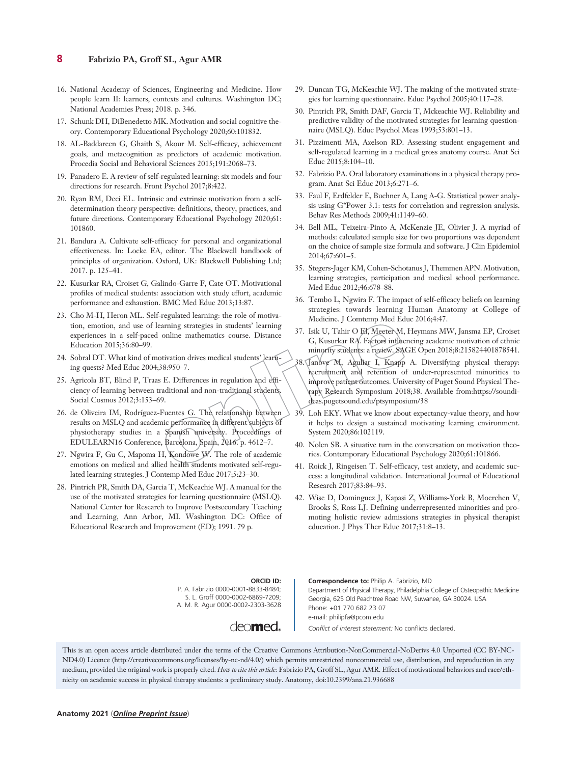## **8 Fabrizio PA, Groff SL, Agur AMR**

- 16. National Academy of Sciences, Engineering and Medicine. How people learn II: learners, contexts and cultures. Washington DC; National Academies Press; 2018. p. 346.
- 17. Schunk DH, DiBenedetto MK. Motivation and social cognitive theory. Contemporary Educational Psychology 2020;60:101832.
- 18. AL-Baddareen G, Ghaith S, Akour M. Self-efficacy, achievement goals, and metacognition as predictors of academic motivation. Procedia Social and Behavioral Sciences 2015;191:2068–73.
- 19. Panadero E. A review of self-regulated learning: six models and four directions for research. Front Psychol 2017;8:422.
- 20. Ryan RM, Deci EL. Intrinsic and extrinsic motivation from a selfdetermination theory perspective: definitions, theory, practices, and future directions. Contemporary Educational Psychology 2020;61: 101860.
- 21. Bandura A. Cultivate self-efficacy for personal and organizational effectiveness. In: Locke EA, editor. The Blackwell handbook of principles of organization. Oxford, UK: Blackwell Publishing Ltd; 2017. p. 125–41.
- 22. Kusurkar RA, Croiset G, Galindo-Garre F, Cate OT. Motivational profiles of medical students: association with study effort, academic performance and exhaustion. BMC Med Educ 2013;13:87.
- 23. Cho M-H, Heron ML. Self-regulated learning: the role of motivation, emotion, and use of learning strategies in students' learning experiences in a self-paced online mathematics course. Distance Education 2015;36:80–99.
- 24. Sobral DT. What kind of motivation drives medical students' learning quests? Med Educ 2004;38:950–7.
- 25. Agricola BT, Blind P, Traas E. Differences in regulation and efficiency of learning between traditional and non-traditional students. Social Cosmos 2012;3:153–69.
- 26. de Oliveira IM, Rodríguez-Fuentes G. The relationship between results on MSLQ and academic performance in different subjects of physiotherapy studies in a Spanish university. Proceedings of EDULEARN16 Conference, Barcelona, Spain, 2016. p. 4612–7.
- 27. Ngwira F, Gu C, Mapoma H, Kondowe W. The role of academic emotions on medical and allied health students motivated self-regulated learning strategies. J Contemp Med Educ 2017;5:23–30.
- 28. Pintrich PR, Smith DA, Garcia T, McKeachie WJ. A manual for the use of the motivated strategies for learning questionnaire (MSLQ). National Center for Research to Improve Postsecondary Teaching and Learning, Ann Arbor, MI. Washington DC: Office of Educational Research and Improvement (ED); 1991. 79 p.
- 29. Duncan TG, McKeachie WJ. The making of the motivated strategies for learning questionnaire. Educ Psychol 2005;40:117–28.
- 30. Pintrich PR, Smith DAF, Garcia T, Mckeachie WJ. Reliability and predictive validity of the motivated strategies for learning questionnaire (MSLQ). Educ Psychol Meas 1993;53:801–13.
- 31. Pizzimenti MA, Axelson RD. Assessing student engagement and self-regulated learning in a medical gross anatomy course. Anat Sci Educ 2015;8:104–10.
- 32. Fabrizio PA. Oral laboratory examinations in a physical therapy program. Anat Sci Educ 2013;6:271–6.
- 33. Faul F, Erdfelder E, Buchner A, Lang A-G. Statistical power analysis using G\*Power 3.1: tests for correlation and regression analysis. Behav Res Methods 2009;41:1149–60.
- 34. Bell ML, Teixeira-Pinto A, McKenzie JE, Olivier J. A myriad of methods: calculated sample size for two proportions was dependent on the choice of sample size formula and software. J Clin Epidemiol 2014;67:601–5.
- 35. Stegers-Jager KM, Cohen-Schotanus J, Themmen APN. Motivation, learning strategies, participation and medical school performance. Med Educ 2012;46:678–88.
- 36. Tembo L, Ngwira F. The impact of self-efficacy beliefs on learning strategies: towards learning Human Anatomy at College of Medicine. J Comtemp Med Educ 2016;4:47.
- 37. Isik U, Tahir O El, Meeter M, Heymans MW, Jansma EP, Croiset G, Kusurkar RA. Factors influencing academic motivation of ethnic minority students: a review. SAGE Open 2018;8:215824401878541.
- 38. Janove M, Aguliar I, Knapp A. Diversifying physical therapy: recruitment and retention of under-represented minorities to improve patient outcomes. University of Puget Sound Physical Therapy Research Symposium 2018;38. Available from:https://soundideas.pugetsound.edu/ptsymposium/38
- 39. Loh EKY. What we know about expectancy-value theory, and how it helps to design a sustained motivating learning environment. System 2020;86:102119.
- 40. Nolen SB. A situative turn in the conversation on motivation theories. Contemporary Educational Psychology 2020;61:101866.
- 41. Roick J, Ringeisen T. Self-efficacy, test anxiety, and academic success: a longitudinal validation. International Journal of Educational Research 2017;83:84–93.
- 42. Wise D, Dominguez J, Kapasi Z, Williams-York B, Moerchen V, Brooks S, Ross LJ. Defining underrepresented minorities and promoting holistic review admissions strategies in physical therapist education. J Phys Ther Educ 2017;31:8–13.

**ORCID ID:** P. A. Fabrizio 0000-0001-8833-8484; S. L. Groff 0000-0002-6869-7209; A. M. R. Agur 0000-0002-2303-3628

deo**med**.

**Correspondence to:** Philip A. Fabrizio, MD Department of Physical Therapy, Philadelphia College of Osteopathic Medicine Georgia, 625 Old Peachtree Road NW, Suwanee, GA 30024. USA Phone: +01 770 682 23 07 e-mail: philipfa@pcom.edu *Conflict of interest statement:* No conflicts declared.

This is an open access article distributed under the terms of the Creative Commons Attribution-NonCommercial-NoDerivs 4.0 Unported (CC BY-NC-ND4.0) Licence (http://creativecommons.org/licenses/by-nc-nd/4.0/) which permits unrestricted noncommercial use, distribution, and reproduction in any medium, provided the original work is properly cited. *How to cite this article:* Fabrizio PA, Groff SL, Agur AMR. Effect of motivational behaviors and race/ethnicity on academic success in physical therapy students: a preliminary study. Anatomy, doi:10.2399/ana.21.936688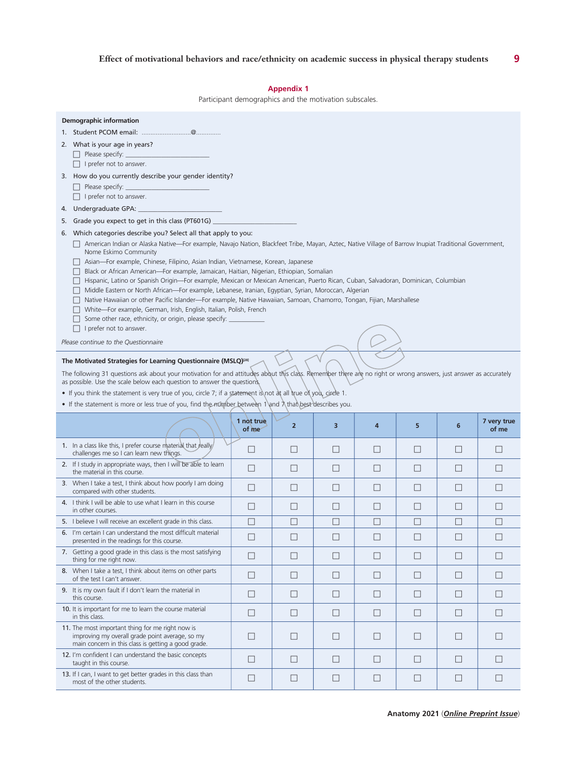## **Appendix 1**

Participant demographics and the motivation subscales.

| <b>Demographic information</b>                                                                                                                                                                                                                                                                                                                                                                                                                                                                                                                                                                                                                                                                                                                                                                                                                                                                                                                    |                     |                |         |        |        |              |                      |
|---------------------------------------------------------------------------------------------------------------------------------------------------------------------------------------------------------------------------------------------------------------------------------------------------------------------------------------------------------------------------------------------------------------------------------------------------------------------------------------------------------------------------------------------------------------------------------------------------------------------------------------------------------------------------------------------------------------------------------------------------------------------------------------------------------------------------------------------------------------------------------------------------------------------------------------------------|---------------------|----------------|---------|--------|--------|--------------|----------------------|
|                                                                                                                                                                                                                                                                                                                                                                                                                                                                                                                                                                                                                                                                                                                                                                                                                                                                                                                                                   |                     |                |         |        |        |              |                      |
| 2. What is your age in years?<br>Please specify: _                                                                                                                                                                                                                                                                                                                                                                                                                                                                                                                                                                                                                                                                                                                                                                                                                                                                                                |                     |                |         |        |        |              |                      |
| $\Box$ I prefer not to answer.                                                                                                                                                                                                                                                                                                                                                                                                                                                                                                                                                                                                                                                                                                                                                                                                                                                                                                                    |                     |                |         |        |        |              |                      |
| 3. How do you currently describe your gender identity?<br>Please specify:                                                                                                                                                                                                                                                                                                                                                                                                                                                                                                                                                                                                                                                                                                                                                                                                                                                                         |                     |                |         |        |        |              |                      |
| I prefer not to answer.                                                                                                                                                                                                                                                                                                                                                                                                                                                                                                                                                                                                                                                                                                                                                                                                                                                                                                                           |                     |                |         |        |        |              |                      |
| 4.                                                                                                                                                                                                                                                                                                                                                                                                                                                                                                                                                                                                                                                                                                                                                                                                                                                                                                                                                |                     |                |         |        |        |              |                      |
| Grade you expect to get in this class (PT601G)<br>5.<br>6. Which categories describe you? Select all that apply to you:                                                                                                                                                                                                                                                                                                                                                                                                                                                                                                                                                                                                                                                                                                                                                                                                                           |                     |                |         |        |        |              |                      |
| □ American Indian or Alaska Native—For example, Navajo Nation, Blackfeet Tribe, Mayan, Aztec, Native Village of Barrow Inupiat Traditional Government,<br>Nome Eskimo Community<br>Asian-For example, Chinese, Filipino, Asian Indian, Vietnamese, Korean, Japanese<br>Black or African American—For example, Jamaican, Haitian, Nigerian, Ethiopian, Somalian<br>Hispanic, Latino or Spanish Origin-For example, Mexican or Mexican American, Puerto Rican, Cuban, Salvadoran, Dominican, Columbian<br>Middle Eastern or North African-For example, Lebanese, Iranian, Egyptian, Syrian, Moroccan, Algerian<br>Native Hawaiian or other Pacific Islander-For example, Native Hawaiian, Samoan, Chamorro, Tongan, Fijian, Marshallese<br>White-For example, German, Irish, English, Italian, Polish, French<br>Some other race, ethnicity, or origin, please specify: _<br>$\Box$ I prefer not to answer.<br>Please continue to the Questionnaire |                     |                |         |        |        |              |                      |
|                                                                                                                                                                                                                                                                                                                                                                                                                                                                                                                                                                                                                                                                                                                                                                                                                                                                                                                                                   |                     |                |         |        |        |              |                      |
| The following 31 questions ask about your motivation for and attitudes about this class. Remember there are no right or wrong answers, just answer as accurately<br>as possible. Use the scale below each question to answer the questions.                                                                                                                                                                                                                                                                                                                                                                                                                                                                                                                                                                                                                                                                                                       |                     |                |         |        |        |              |                      |
| • If you think the statement is very true of you, circle 7; if a statement is not at all true of you, circle 1.<br>• If the statement is more or less true of you, find the number between 1 and $\lambda$ that best describes you.                                                                                                                                                                                                                                                                                                                                                                                                                                                                                                                                                                                                                                                                                                               |                     |                |         |        |        |              |                      |
|                                                                                                                                                                                                                                                                                                                                                                                                                                                                                                                                                                                                                                                                                                                                                                                                                                                                                                                                                   | 1 not true<br>of me | $\overline{2}$ | 3       | 4      | 5      | 6            | 7 very true<br>of me |
| 1. In a class like this, I prefer course material that really<br>challenges me so I can learn new things.                                                                                                                                                                                                                                                                                                                                                                                                                                                                                                                                                                                                                                                                                                                                                                                                                                         | $\Box$              | $\Box$         | $\Box$  | □      | $\Box$ | $\Box$       | $\Box$               |
| 2. If I study in appropriate ways, then I will be able to learn<br>the material in this course.                                                                                                                                                                                                                                                                                                                                                                                                                                                                                                                                                                                                                                                                                                                                                                                                                                                   | □                   | П              | П       | □      | П      | П            | П                    |
| 3. When I take a test, I think about how poorly I am doing<br>compared with other students.                                                                                                                                                                                                                                                                                                                                                                                                                                                                                                                                                                                                                                                                                                                                                                                                                                                       | $\Box$              | $\Box$         | $\perp$ | Ш      | $\Box$ | $\perp$      | $\Box$               |
| 4. I think I will be able to use what I learn in this course<br>in other courses.                                                                                                                                                                                                                                                                                                                                                                                                                                                                                                                                                                                                                                                                                                                                                                                                                                                                 | $\Box$              | $\Box$         |         | ш      | $\Box$ | $\mathbf{L}$ |                      |
| 5. I believe I will receive an excellent grade in this class.                                                                                                                                                                                                                                                                                                                                                                                                                                                                                                                                                                                                                                                                                                                                                                                                                                                                                     | П                   | $\Box$         | Ш       | П      | $\Box$ | П            | $\Box$               |
| 6. I'm certain I can understand the most difficult material<br>presented in the readings for this course.                                                                                                                                                                                                                                                                                                                                                                                                                                                                                                                                                                                                                                                                                                                                                                                                                                         | □                   | □              | □       | $\Box$ | $\Box$ | □            | $\Box$               |
| 7. Getting a good grade in this class is the most satisfying<br>thing for me right now.                                                                                                                                                                                                                                                                                                                                                                                                                                                                                                                                                                                                                                                                                                                                                                                                                                                           | $\Box$              | $\Box$         | $\Box$  | $\Box$ | Ш      | $\Box$       | $\perp$              |
| 8. When I take a test, I think about items on other parts<br>of the test I can't answer.                                                                                                                                                                                                                                                                                                                                                                                                                                                                                                                                                                                                                                                                                                                                                                                                                                                          | $\Box$              | П              | $\Box$  | $\Box$ | $\Box$ | $\Box$       | $\Box$               |
| 9. It is my own fault if I don't learn the material in<br>this course.                                                                                                                                                                                                                                                                                                                                                                                                                                                                                                                                                                                                                                                                                                                                                                                                                                                                            | $\Box$              | □              | $\Box$  | $\Box$ | $\Box$ | $\Box$       | $\Box$               |
| 10. It is important for me to learn the course material<br>in this class.                                                                                                                                                                                                                                                                                                                                                                                                                                                                                                                                                                                                                                                                                                                                                                                                                                                                         | □                   | □              | □       | □      | $\Box$ | □            | П                    |
| 11. The most important thing for me right now is<br>improving my overall grade point average, so my<br>main concern in this class is getting a good grade.                                                                                                                                                                                                                                                                                                                                                                                                                                                                                                                                                                                                                                                                                                                                                                                        | □                   | □              | $\Box$  | □      | $\Box$ | □            | П                    |
| 12. I'm confident I can understand the basic concepts<br>taught in this course.                                                                                                                                                                                                                                                                                                                                                                                                                                                                                                                                                                                                                                                                                                                                                                                                                                                                   | $\Box$              | $\Box$         | $\Box$  | $\Box$ | $\Box$ | $\Box$       | $\Box$               |